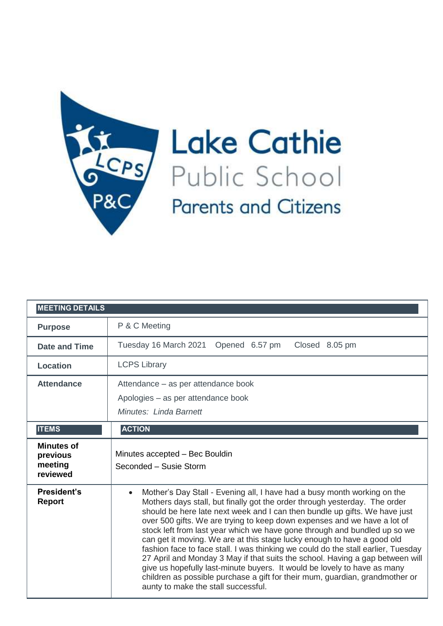

Lake Cathie **Parents and Citizens** 

| <b>MEETING DETAILS</b>                               |                                                                                                                                                                                                                                                                                                                                                                                                                                                                                                                                                                                                                                                                                                                                                                                                                                                                |
|------------------------------------------------------|----------------------------------------------------------------------------------------------------------------------------------------------------------------------------------------------------------------------------------------------------------------------------------------------------------------------------------------------------------------------------------------------------------------------------------------------------------------------------------------------------------------------------------------------------------------------------------------------------------------------------------------------------------------------------------------------------------------------------------------------------------------------------------------------------------------------------------------------------------------|
| <b>Purpose</b>                                       | P & C Meeting                                                                                                                                                                                                                                                                                                                                                                                                                                                                                                                                                                                                                                                                                                                                                                                                                                                  |
| <b>Date and Time</b>                                 | Tuesday 16 March 2021 Opened 6.57 pm<br>Closed 8.05 pm                                                                                                                                                                                                                                                                                                                                                                                                                                                                                                                                                                                                                                                                                                                                                                                                         |
| <b>Location</b>                                      | <b>LCPS Library</b>                                                                                                                                                                                                                                                                                                                                                                                                                                                                                                                                                                                                                                                                                                                                                                                                                                            |
| <b>Attendance</b>                                    | Attendance – as per attendance book<br>Apologies - as per attendance book<br>Minutes: Linda Barnett                                                                                                                                                                                                                                                                                                                                                                                                                                                                                                                                                                                                                                                                                                                                                            |
| <b>ITEMS</b>                                         | <b>ACTION</b>                                                                                                                                                                                                                                                                                                                                                                                                                                                                                                                                                                                                                                                                                                                                                                                                                                                  |
| <b>Minutes of</b><br>previous<br>meeting<br>reviewed | Minutes accepted - Bec Bouldin<br>Seconded - Susie Storm                                                                                                                                                                                                                                                                                                                                                                                                                                                                                                                                                                                                                                                                                                                                                                                                       |
| <b>President's</b><br><b>Report</b>                  | Mother's Day Stall - Evening all, I have had a busy month working on the<br>$\bullet$<br>Mothers days stall, but finally got the order through yesterday. The order<br>should be here late next week and I can then bundle up gifts. We have just<br>over 500 gifts. We are trying to keep down expenses and we have a lot of<br>stock left from last year which we have gone through and bundled up so we<br>can get it moving. We are at this stage lucky enough to have a good old<br>fashion face to face stall. I was thinking we could do the stall earlier, Tuesday<br>27 April and Monday 3 May if that suits the school. Having a gap between will<br>give us hopefully last-minute buyers. It would be lovely to have as many<br>children as possible purchase a gift for their mum, guardian, grandmother or<br>aunty to make the stall successful. |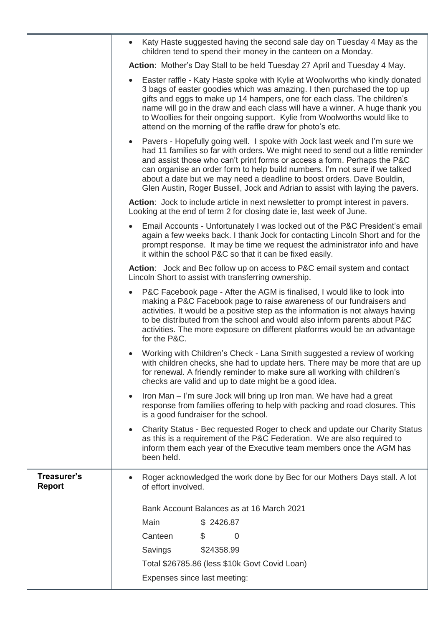|                              | Katy Haste suggested having the second sale day on Tuesday 4 May as the<br>$\bullet$<br>children tend to spend their money in the canteen on a Monday.                                                                                                                                                                                                                                                                                                                                           |
|------------------------------|--------------------------------------------------------------------------------------------------------------------------------------------------------------------------------------------------------------------------------------------------------------------------------------------------------------------------------------------------------------------------------------------------------------------------------------------------------------------------------------------------|
|                              | Action: Mother's Day Stall to be held Tuesday 27 April and Tuesday 4 May.                                                                                                                                                                                                                                                                                                                                                                                                                        |
|                              | Easter raffle - Katy Haste spoke with Kylie at Woolworths who kindly donated<br>$\bullet$<br>3 bags of easter goodies which was amazing. I then purchased the top up<br>gifts and eggs to make up 14 hampers, one for each class. The children's<br>name will go in the draw and each class will have a winner. A huge thank you<br>to Woollies for their ongoing support. Kylie from Woolworths would like to<br>attend on the morning of the raffle draw for photo's etc.                      |
|                              | Pavers - Hopefully going well. I spoke with Jock last week and I'm sure we<br>$\bullet$<br>had 11 families so far with orders. We might need to send out a little reminder<br>and assist those who can't print forms or access a form. Perhaps the P&C<br>can organise an order form to help build numbers. I'm not sure if we talked<br>about a date but we may need a deadline to boost orders. Dave Bouldin,<br>Glen Austin, Roger Bussell, Jock and Adrian to assist with laying the pavers. |
|                              | Action: Jock to include article in next newsletter to prompt interest in pavers.<br>Looking at the end of term 2 for closing date ie, last week of June.                                                                                                                                                                                                                                                                                                                                         |
|                              | Email Accounts - Unfortunately I was locked out of the P&C President's email<br>again a few weeks back. I thank Jock for contacting Lincoln Short and for the<br>prompt response. It may be time we request the administrator info and have<br>it within the school P&C so that it can be fixed easily.                                                                                                                                                                                          |
|                              | <b>Action:</b> Jock and Bec follow up on access to P&C email system and contact<br>Lincoln Short to assist with transferring ownership.                                                                                                                                                                                                                                                                                                                                                          |
|                              | P&C Facebook page - After the AGM is finalised, I would like to look into<br>$\bullet$<br>making a P&C Facebook page to raise awareness of our fundraisers and<br>activities. It would be a positive step as the information is not always having<br>to be distributed from the school and would also inform parents about P&C<br>activities. The more exposure on different platforms would be an advantage<br>for the P&C.                                                                     |
|                              | Working with Children's Check - Lana Smith suggested a review of working<br>with children checks, she had to update hers. There may be more that are up<br>for renewal. A friendly reminder to make sure all working with children's<br>checks are valid and up to date might be a good idea.                                                                                                                                                                                                    |
|                              | Iron Man – I'm sure Jock will bring up Iron man. We have had a great<br>$\bullet$<br>response from families offering to help with packing and road closures. This<br>is a good fundraiser for the school.                                                                                                                                                                                                                                                                                        |
|                              | Charity Status - Bec requested Roger to check and update our Charity Status<br>$\bullet$<br>as this is a requirement of the P&C Federation. We are also required to<br>inform them each year of the Executive team members once the AGM has<br>been held.                                                                                                                                                                                                                                        |
| Treasurer's<br><b>Report</b> | Roger acknowledged the work done by Bec for our Mothers Days stall. A lot<br>of effort involved.                                                                                                                                                                                                                                                                                                                                                                                                 |
|                              | Bank Account Balances as at 16 March 2021                                                                                                                                                                                                                                                                                                                                                                                                                                                        |
|                              | Main<br>\$2426.87                                                                                                                                                                                                                                                                                                                                                                                                                                                                                |
|                              | Canteen<br>\$<br>0                                                                                                                                                                                                                                                                                                                                                                                                                                                                               |
|                              | \$24358.99<br>Savings                                                                                                                                                                                                                                                                                                                                                                                                                                                                            |
|                              | Total \$26785.86 (less \$10k Govt Covid Loan)                                                                                                                                                                                                                                                                                                                                                                                                                                                    |
|                              | Expenses since last meeting:                                                                                                                                                                                                                                                                                                                                                                                                                                                                     |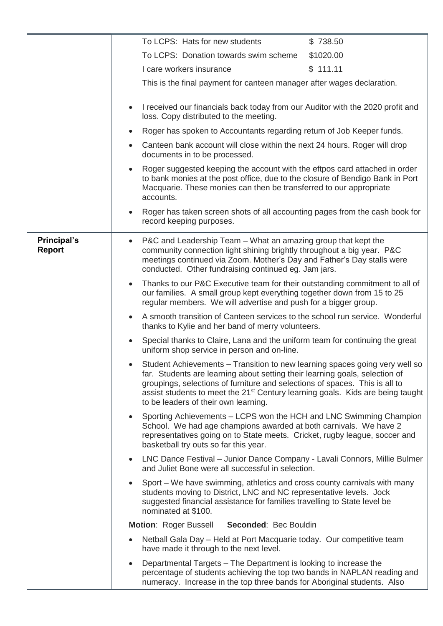|                                     | To LCPS: Hats for new students<br>\$738.50                                                                                                                                                                                                                                                                                                                                                   |
|-------------------------------------|----------------------------------------------------------------------------------------------------------------------------------------------------------------------------------------------------------------------------------------------------------------------------------------------------------------------------------------------------------------------------------------------|
|                                     | To LCPS: Donation towards swim scheme<br>\$1020.00                                                                                                                                                                                                                                                                                                                                           |
|                                     | \$111.11<br>I care workers insurance                                                                                                                                                                                                                                                                                                                                                         |
|                                     | This is the final payment for canteen manager after wages declaration.                                                                                                                                                                                                                                                                                                                       |
|                                     | I received our financials back today from our Auditor with the 2020 profit and<br>$\bullet$<br>loss. Copy distributed to the meeting.                                                                                                                                                                                                                                                        |
|                                     | Roger has spoken to Accountants regarding return of Job Keeper funds.                                                                                                                                                                                                                                                                                                                        |
|                                     | Canteen bank account will close within the next 24 hours. Roger will drop<br>documents in to be processed.                                                                                                                                                                                                                                                                                   |
|                                     | Roger suggested keeping the account with the eftpos card attached in order<br>to bank monies at the post office, due to the closure of Bendigo Bank in Port<br>Macquarie. These monies can then be transferred to our appropriate<br>accounts.                                                                                                                                               |
|                                     | Roger has taken screen shots of all accounting pages from the cash book for<br>$\bullet$<br>record keeping purposes.                                                                                                                                                                                                                                                                         |
| <b>Principal's</b><br><b>Report</b> | P&C and Leadership Team – What an amazing group that kept the<br>$\bullet$<br>community connection light shining brightly throughout a big year. P&C<br>meetings continued via Zoom. Mother's Day and Father's Day stalls were<br>conducted. Other fundraising continued eg. Jam jars.                                                                                                       |
|                                     | Thanks to our P&C Executive team for their outstanding commitment to all of<br>$\bullet$<br>our families. A small group kept everything together down from 15 to 25<br>regular members. We will advertise and push for a bigger group.                                                                                                                                                       |
|                                     | A smooth transition of Canteen services to the school run service. Wonderful<br>$\bullet$<br>thanks to Kylie and her band of merry volunteers.                                                                                                                                                                                                                                               |
|                                     | Special thanks to Claire, Lana and the uniform team for continuing the great<br>uniform shop service in person and on-line.                                                                                                                                                                                                                                                                  |
|                                     | Student Achievements – Transition to new learning spaces going very well so<br>$\bullet$<br>far. Students are learning about setting their learning goals, selection of<br>groupings, selections of furniture and selections of spaces. This is all to<br>assist students to meet the 21 <sup>st</sup> Century learning goals. Kids are being taught<br>to be leaders of their own learning. |
|                                     | Sporting Achievements - LCPS won the HCH and LNC Swimming Champion<br>School. We had age champions awarded at both carnivals. We have 2<br>representatives going on to State meets. Cricket, rugby league, soccer and<br>basketball try outs so far this year.                                                                                                                               |
|                                     | • LNC Dance Festival – Junior Dance Company - Lavali Connors, Millie Bulmer<br>and Juliet Bone were all successful in selection.                                                                                                                                                                                                                                                             |
|                                     | Sport - We have swimming, athletics and cross county carnivals with many<br>students moving to District, LNC and NC representative levels. Jock<br>suggested financial assistance for families travelling to State level be<br>nominated at \$100.                                                                                                                                           |
|                                     | <b>Motion: Roger Bussell</b><br>Seconded: Bec Bouldin                                                                                                                                                                                                                                                                                                                                        |
|                                     | Netball Gala Day – Held at Port Macquarie today. Our competitive team<br>$\bullet$<br>have made it through to the next level.                                                                                                                                                                                                                                                                |
|                                     | Departmental Targets – The Department is looking to increase the<br>$\bullet$<br>percentage of students achieving the top two bands in NAPLAN reading and<br>numeracy. Increase in the top three bands for Aboriginal students. Also                                                                                                                                                         |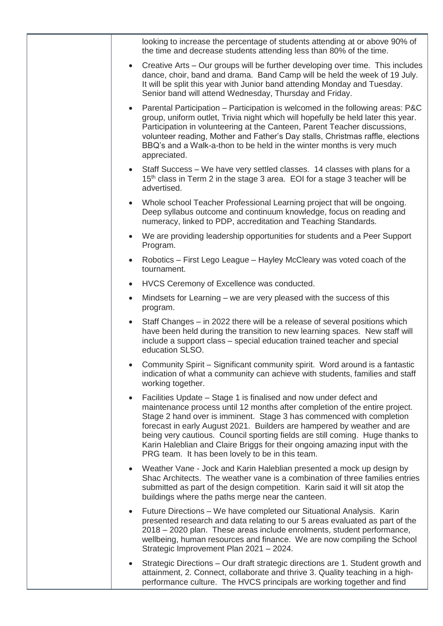| looking to increase the percentage of students attending at or above 90% of<br>the time and decrease students attending less than 80% of the time.                                                                                                                                                                                                                                                                                                                                                                                  |
|-------------------------------------------------------------------------------------------------------------------------------------------------------------------------------------------------------------------------------------------------------------------------------------------------------------------------------------------------------------------------------------------------------------------------------------------------------------------------------------------------------------------------------------|
| Creative Arts – Our groups will be further developing over time. This includes<br>$\bullet$<br>dance, choir, band and drama. Band Camp will be held the week of 19 July.<br>It will be split this year with Junior band attending Monday and Tuesday.<br>Senior band will attend Wednesday, Thursday and Friday.                                                                                                                                                                                                                    |
| Parental Participation – Participation is welcomed in the following areas: P&C<br>$\bullet$<br>group, uniform outlet, Trivia night which will hopefully be held later this year.<br>Participation in volunteering at the Canteen, Parent Teacher discussions,<br>volunteer reading, Mother and Father's Day stalls, Christmas raffle, elections<br>BBQ's and a Walk-a-thon to be held in the winter months is very much<br>appreciated.                                                                                             |
| Staff Success – We have very settled classes. 14 classes with plans for a<br>$\bullet$<br>15 <sup>th</sup> class in Term 2 in the stage 3 area. EOI for a stage 3 teacher will be<br>advertised.                                                                                                                                                                                                                                                                                                                                    |
| Whole school Teacher Professional Learning project that will be ongoing.<br>$\bullet$<br>Deep syllabus outcome and continuum knowledge, focus on reading and<br>numeracy, linked to PDP, accreditation and Teaching Standards.                                                                                                                                                                                                                                                                                                      |
| We are providing leadership opportunities for students and a Peer Support<br>$\bullet$<br>Program.                                                                                                                                                                                                                                                                                                                                                                                                                                  |
| Robotics – First Lego League – Hayley McCleary was voted coach of the<br>$\bullet$<br>tournament.                                                                                                                                                                                                                                                                                                                                                                                                                                   |
| HVCS Ceremony of Excellence was conducted.<br>$\bullet$                                                                                                                                                                                                                                                                                                                                                                                                                                                                             |
| Mindsets for Learning – we are very pleased with the success of this<br>$\bullet$<br>program.                                                                                                                                                                                                                                                                                                                                                                                                                                       |
| Staff Changes – in 2022 there will be a release of several positions which<br>$\bullet$<br>have been held during the transition to new learning spaces. New staff will<br>include a support class – special education trained teacher and special<br>education SLSO.                                                                                                                                                                                                                                                                |
| Community Spirit - Significant community spirit. Word around is a fantastic<br>indication of what a community can achieve with students, families and staff<br>working together.                                                                                                                                                                                                                                                                                                                                                    |
| Facilities Update – Stage 1 is finalised and now under defect and<br>$\bullet$<br>maintenance process until 12 months after completion of the entire project.<br>Stage 2 hand over is imminent. Stage 3 has commenced with completion<br>forecast in early August 2021. Builders are hampered by weather and are<br>being very cautious. Council sporting fields are still coming. Huge thanks to<br>Karin Haleblian and Claire Briggs for their ongoing amazing input with the<br>PRG team. It has been lovely to be in this team. |
| Weather Vane - Jock and Karin Haleblian presented a mock up design by<br>$\bullet$<br>Shac Architects. The weather vane is a combination of three families entries<br>submitted as part of the design competition. Karin said it will sit atop the<br>buildings where the paths merge near the canteen.                                                                                                                                                                                                                             |
| Future Directions – We have completed our Situational Analysis. Karin<br>$\bullet$<br>presented research and data relating to our 5 areas evaluated as part of the<br>2018 – 2020 plan. These areas include enrolments, student performance,<br>wellbeing, human resources and finance. We are now compiling the School<br>Strategic Improvement Plan 2021 - 2024.                                                                                                                                                                  |
| Strategic Directions – Our draft strategic directions are 1. Student growth and<br>$\bullet$<br>attainment, 2. Connect, collaborate and thrive 3. Quality teaching in a high-<br>performance culture. The HVCS principals are working together and find                                                                                                                                                                                                                                                                             |